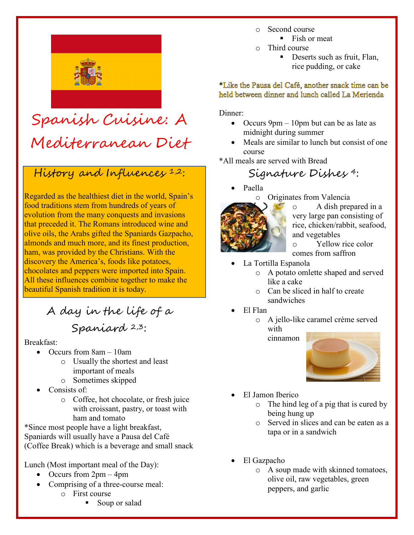

# Spanish Cuisine: A Mediterranean Diet

# History and Influences 1,2:

Regarded as the healthiest diet in the world, Spain's food traditions stem from hundreds of years of evolution from the many conquests and invasions that preceded it. The Romans introduced wine and olive oils, the Arabs gifted the Spaniards Gazpacho, almonds and much more, and its finest production, ham, was provided by the Christians. With the discovery the America's, foods like potatoes, chocolates and peppers were imported into Spain. All these influences combine together to make the beautiful Spanish tradition it is today.

A day in the life of a Spaniard 2,3:

#### Breakfast:

- Occurs from 8am 10am
	- o Usually the shortest and least important of meals
	- o Sometimes skipped
- Consists of:
	- o Coffee, hot chocolate, or fresh juice with croissant, pastry, or toast with ham and tomato

\*Since most people have a light breakfast, Spaniards will usually have a Pausa del Café (Coffee Break) which is a beverage and small snack

Lunch (Most important meal of the Day):

- Occurs from  $2pm 4pm$
- Comprising of a three-course meal: o First course
	- Soup or salad
- o Second course
	- Fish or meat
- o Third course
	- Deserts such as fruit, Flan, rice pudding, or cake

#### \*Like the Pausa del Café, another snack time can be held between dinner and lunch called La Merienda

Dinner:

- Occurs  $9 \text{pm} 10 \text{pm}$  but can be as late as midnight during summer
- Meals are similar to lunch but consist of one course
- \*All meals are served with Bread

### Signature Dishes 4:

• Paella



o A dish prepared in a very large pan consisting of rice, chicken/rabbit, seafood, and vegetables

o Yellow rice color comes from saffron

- La Tortilla Espanola
	- o A potato omlette shaped and served like a cake
	- o Can be sliced in half to create sandwiches
- El Flan
	- o A jello-like caramel crème served with

cinnamon



- El Jamon Iberico
	- o The hind leg of a pig that is cured by being hung up
	- o Served in slices and can be eaten as a tapa or in a sandwich
- El Gazpacho
	- o A soup made with skinned tomatoes, olive oil, raw vegetables, green peppers, and garlic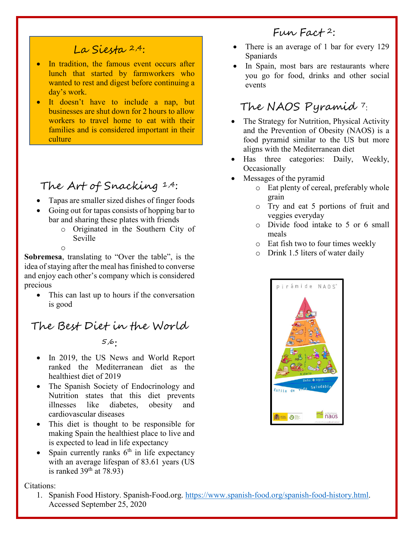### La Siesta 2,4:

- In tradition, the famous event occurs after lunch that started by farmworkers who wanted to rest and digest before continuing a day's work.
- It doesn't have to include a nap, but businesses are shut down for 2 hours to allow workers to travel home to eat with their families and is considered important in their culture

## The Art of Snacking 1,4:

- Tapas are smaller sized dishes of finger foods
- Going out for tapas consists of hopping bar to bar and sharing these plates with friends
	- o Originated in the Southern City of Seville
	- o

**Sobremesa**, translating to "Over the table", is the idea of staying after the meal has finished to converse and enjoy each other's company which is considered precious

This can last up to hours if the conversation is good

# The Best Diet in the World

#### 5,6:

- In 2019, the US News and World Report ranked the Mediterranean diet as the healthiest diet of 2019
- The Spanish Society of Endocrinology and Nutrition states that this diet prevents illnesses like diabetes, obesity and cardiovascular diseases
- This diet is thought to be responsible for making Spain the healthiest place to live and is expected to lead in life expectancy
- Spain currently ranks  $6<sup>th</sup>$  in life expectancy with an average lifespan of 83.61 years (US is ranked  $39<sup>th</sup>$  at 78.93)

Citations:

1. Spanish Food History. Spanish-Food.org. [https://www.spanish-food.org/spanish-food-history.html.](https://www.spanish-food.org/spanish-food-history.html) Accessed September 25, 2020

#### $F_{UV}$   $F_{act}$  + 2:

- There is an average of 1 bar for every 129 Spaniards
- In Spain, most bars are restaurants where you go for food, drinks and other social events

## The NAOS Pyramid <sup>7</sup>:

- The Strategy for Nutrition, Physical Activity and the Prevention of Obesity (NAOS) is a food pyramid similar to the US but more aligns with the Mediterranean diet
- Has three categories: Daily, Weekly, **Occasionally**
- Messages of the pyramid
	- o Eat plenty of cereal, preferably whole grain
	- o Try and eat 5 portions of fruit and veggies everyday
	- o Divide food intake to 5 or 6 small meals
	- o Eat fish two to four times weekly
	- o Drink 1.5 liters of water daily